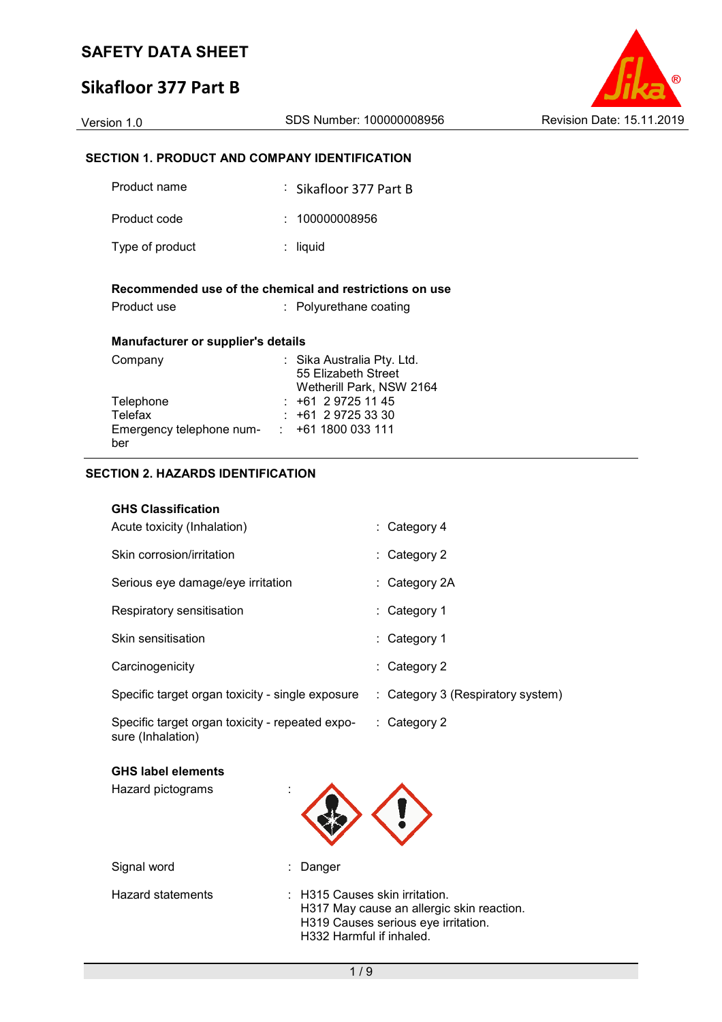# **Sikafloor 377 Part B**



### **SECTION 1. PRODUCT AND COMPANY IDENTIFICATION**

| Product name                              | : Sikafloor 377 Part B                                                            |
|-------------------------------------------|-----------------------------------------------------------------------------------|
| Product code                              | : 100000008956                                                                    |
| Type of product                           | : liquid                                                                          |
| Product use                               | Recommended use of the chemical and restrictions on use<br>: Polyurethane coating |
| <b>Manufacturer or supplier's details</b> |                                                                                   |
| Company                                   | : Sika Australia Pty. Ltd.<br>55 Elizabeth Street<br>Wetherill Park, NSW 2164     |
| Telephone                                 | : +61 2 9725 11 45                                                                |
| Telefax                                   | $: +61297253330$                                                                  |
| Emergency telephone num- :<br>ber         | +61 1800 033 111                                                                  |

### **SECTION 2. HAZARDS IDENTIFICATION**

#### **GHS Classification**

| Acute toxicity (Inhalation)                                          | : Category 4                      |
|----------------------------------------------------------------------|-----------------------------------|
| Skin corrosion/irritation                                            | $:$ Category 2                    |
| Serious eye damage/eye irritation                                    | $:$ Category 2A                   |
| Respiratory sensitisation                                            | : Category 1                      |
| Skin sensitisation                                                   | : Category 1                      |
| Carcinogenicity                                                      | : Category 2                      |
| Specific target organ toxicity - single exposure                     | : Category 3 (Respiratory system) |
| Specific target organ toxicity - repeated expo-<br>sure (Inhalation) | : Category 2                      |

|  |  | <b>GHS label elements</b> |
|--|--|---------------------------|
|--|--|---------------------------|

Hazard pictograms :



| Signal word       | : Danger                                                                                                                                       |
|-------------------|------------------------------------------------------------------------------------------------------------------------------------------------|
| Hazard statements | : H315 Causes skin irritation.<br>H317 May cause an allergic skin reaction.<br>H319 Causes serious eye irritation.<br>H332 Harmful if inhaled. |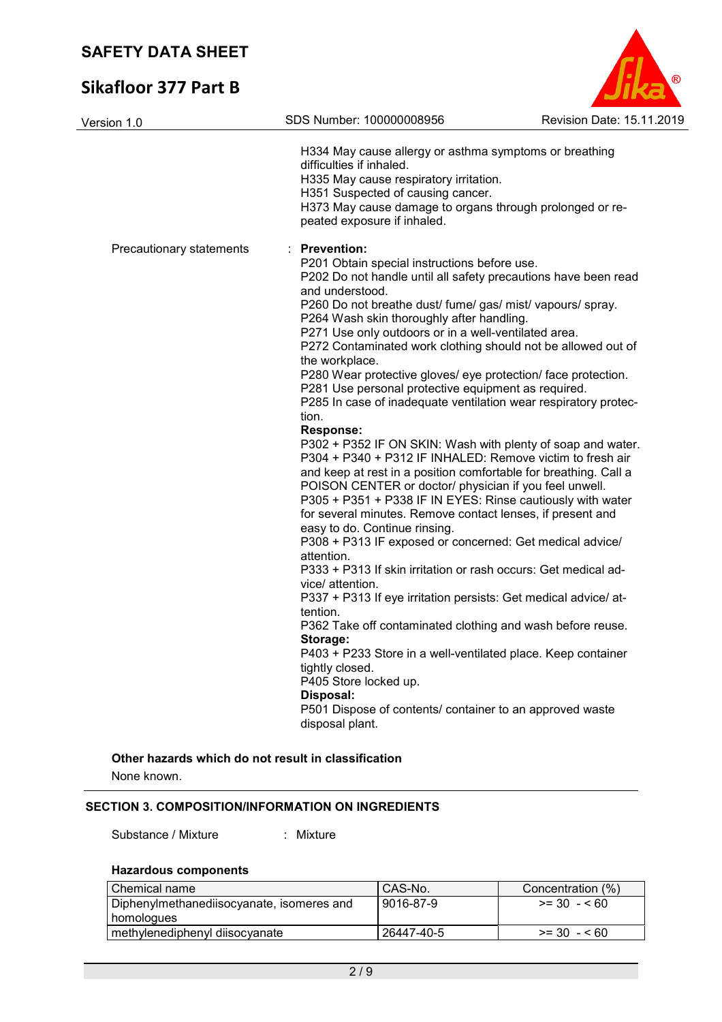# **Sikafloor 377 Part B**

| <b>Revision Date: 15.11.2019</b> |
|----------------------------------|

| Version 1.0              | SDS Number: 100000008956                                                                                                                                                                                                                                                                                                                                                                                                                                                                                                                                                                                                                                                                                                                                                                                                                                                                                                                                                                                                                                                                                                                                                                                                                                                                                                                                                                                                                                                                                                                                                                | Revision Date: 15.1 |
|--------------------------|-----------------------------------------------------------------------------------------------------------------------------------------------------------------------------------------------------------------------------------------------------------------------------------------------------------------------------------------------------------------------------------------------------------------------------------------------------------------------------------------------------------------------------------------------------------------------------------------------------------------------------------------------------------------------------------------------------------------------------------------------------------------------------------------------------------------------------------------------------------------------------------------------------------------------------------------------------------------------------------------------------------------------------------------------------------------------------------------------------------------------------------------------------------------------------------------------------------------------------------------------------------------------------------------------------------------------------------------------------------------------------------------------------------------------------------------------------------------------------------------------------------------------------------------------------------------------------------------|---------------------|
|                          | H334 May cause allergy or asthma symptoms or breathing<br>difficulties if inhaled.<br>H335 May cause respiratory irritation.<br>H351 Suspected of causing cancer.<br>H373 May cause damage to organs through prolonged or re-<br>peated exposure if inhaled.                                                                                                                                                                                                                                                                                                                                                                                                                                                                                                                                                                                                                                                                                                                                                                                                                                                                                                                                                                                                                                                                                                                                                                                                                                                                                                                            |                     |
| Precautionary statements | : Prevention:<br>P201 Obtain special instructions before use.<br>P202 Do not handle until all safety precautions have been read<br>and understood.<br>P260 Do not breathe dust/ fume/ gas/ mist/ vapours/ spray.<br>P264 Wash skin thoroughly after handling.<br>P271 Use only outdoors or in a well-ventilated area.<br>P272 Contaminated work clothing should not be allowed out of<br>the workplace.<br>P280 Wear protective gloves/ eye protection/ face protection.<br>P281 Use personal protective equipment as required.<br>P285 In case of inadequate ventilation wear respiratory protec-<br>tion.<br><b>Response:</b><br>P302 + P352 IF ON SKIN: Wash with plenty of soap and water.<br>P304 + P340 + P312 IF INHALED: Remove victim to fresh air<br>and keep at rest in a position comfortable for breathing. Call a<br>POISON CENTER or doctor/ physician if you feel unwell.<br>P305 + P351 + P338 IF IN EYES: Rinse cautiously with water<br>for several minutes. Remove contact lenses, if present and<br>easy to do. Continue rinsing.<br>P308 + P313 IF exposed or concerned: Get medical advice/<br>attention.<br>P333 + P313 If skin irritation or rash occurs: Get medical ad-<br>vice/ attention.<br>P337 + P313 If eye irritation persists: Get medical advice/ at-<br>tention.<br>P362 Take off contaminated clothing and wash before reuse.<br>Storage:<br>P403 + P233 Store in a well-ventilated place. Keep container<br>tightly closed.<br>P405 Store locked up.<br>Disposal:<br>P501 Dispose of contents/ container to an approved waste<br>disposal plant. |                     |

### **Other hazards which do not result in classification**

None known.

### **SECTION 3. COMPOSITION/INFORMATION ON INGREDIENTS**

#### Substance / Mixture : Mixture

### **Hazardous components**

| $\blacksquare$ Chemical name              | CAS-No.    | Concentration (%) |
|-------------------------------------------|------------|-------------------|
| Diphenylmethanediisocyanate, isomeres and | 9016-87-9  | $>= 30 - 560$     |
| homologues                                |            |                   |
| methylenediphenyl diisocyanate            | 26447-40-5 | $>= 30 - 560$     |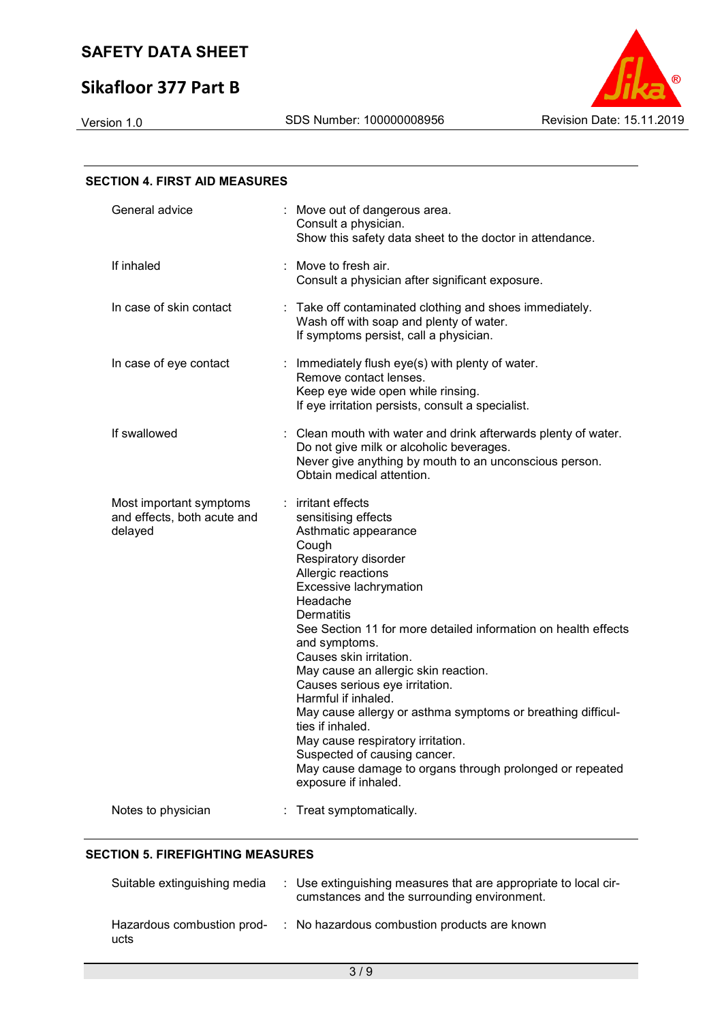# **Sikafloor 377 Part B**



| <b>SECTION 4. FIRST AID MEASURES</b>                              |                                                                                                                                                                                                                                                                                                                                                                                                                                                                                                                                                                                                                                         |
|-------------------------------------------------------------------|-----------------------------------------------------------------------------------------------------------------------------------------------------------------------------------------------------------------------------------------------------------------------------------------------------------------------------------------------------------------------------------------------------------------------------------------------------------------------------------------------------------------------------------------------------------------------------------------------------------------------------------------|
| General advice                                                    | : Move out of dangerous area.<br>Consult a physician.<br>Show this safety data sheet to the doctor in attendance.                                                                                                                                                                                                                                                                                                                                                                                                                                                                                                                       |
| If inhaled                                                        | Move to fresh air.<br>Consult a physician after significant exposure.                                                                                                                                                                                                                                                                                                                                                                                                                                                                                                                                                                   |
| In case of skin contact                                           | : Take off contaminated clothing and shoes immediately.<br>Wash off with soap and plenty of water.<br>If symptoms persist, call a physician.                                                                                                                                                                                                                                                                                                                                                                                                                                                                                            |
| In case of eye contact                                            | : Immediately flush eye(s) with plenty of water.<br>Remove contact lenses.<br>Keep eye wide open while rinsing.<br>If eye irritation persists, consult a specialist.                                                                                                                                                                                                                                                                                                                                                                                                                                                                    |
| If swallowed                                                      | Clean mouth with water and drink afterwards plenty of water.<br>Do not give milk or alcoholic beverages.<br>Never give anything by mouth to an unconscious person.<br>Obtain medical attention.                                                                                                                                                                                                                                                                                                                                                                                                                                         |
| Most important symptoms<br>and effects, both acute and<br>delayed | : irritant effects<br>sensitising effects<br>Asthmatic appearance<br>Cough<br>Respiratory disorder<br>Allergic reactions<br>Excessive lachrymation<br>Headache<br>Dermatitis<br>See Section 11 for more detailed information on health effects<br>and symptoms.<br>Causes skin irritation.<br>May cause an allergic skin reaction.<br>Causes serious eye irritation.<br>Harmful if inhaled.<br>May cause allergy or asthma symptoms or breathing difficul-<br>ties if inhaled.<br>May cause respiratory irritation.<br>Suspected of causing cancer.<br>May cause damage to organs through prolonged or repeated<br>exposure if inhaled. |
| Notes to physician                                                | Treat symptomatically.                                                                                                                                                                                                                                                                                                                                                                                                                                                                                                                                                                                                                  |

### **SECTION 5. FIREFIGHTING MEASURES**

| Suitable extinguishing media | : Use extinguishing measures that are appropriate to local cir-<br>cumstances and the surrounding environment. |
|------------------------------|----------------------------------------------------------------------------------------------------------------|
| ucts                         | Hazardous combustion prod- : No hazardous combustion products are known                                        |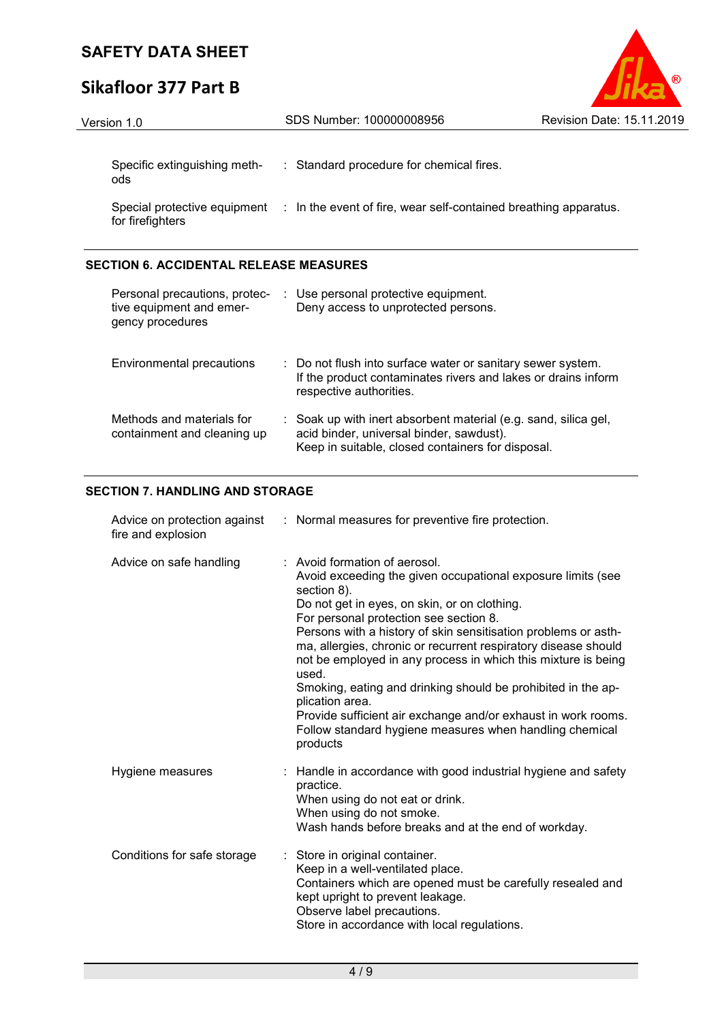# **Sikafloor 377 Part B**



| Version 1.0                         | SDS Number: 100000008956                                                                      | <b>Revision Date: 15.11.2019</b> |
|-------------------------------------|-----------------------------------------------------------------------------------------------|----------------------------------|
| Specific extinguishing meth-<br>ods | : Standard procedure for chemical fires.                                                      |                                  |
| for firefighters                    | Special protective equipment : In the event of fire, wear self-contained breathing apparatus. |                                  |

### **SECTION 6. ACCIDENTAL RELEASE MEASURES**

| Personal precautions, protec-<br>tive equipment and emer-<br>gency procedures | : Use personal protective equipment.<br>Deny access to unprotected persons.                                                                                      |
|-------------------------------------------------------------------------------|------------------------------------------------------------------------------------------------------------------------------------------------------------------|
| Environmental precautions                                                     | : Do not flush into surface water or sanitary sewer system.<br>If the product contaminates rivers and lakes or drains inform<br>respective authorities.          |
| Methods and materials for<br>containment and cleaning up                      | : Soak up with inert absorbent material (e.g. sand, silica gel,<br>acid binder, universal binder, sawdust).<br>Keep in suitable, closed containers for disposal. |

### **SECTION 7. HANDLING AND STORAGE**

| fire and explosion          | Advice on protection against : Normal measures for preventive fire protection.                                                                                                                                                                                                                                                                                                                                                                                                                                                                                                                                                                 |
|-----------------------------|------------------------------------------------------------------------------------------------------------------------------------------------------------------------------------------------------------------------------------------------------------------------------------------------------------------------------------------------------------------------------------------------------------------------------------------------------------------------------------------------------------------------------------------------------------------------------------------------------------------------------------------------|
| Advice on safe handling     | : Avoid formation of aerosol.<br>Avoid exceeding the given occupational exposure limits (see<br>section 8).<br>Do not get in eyes, on skin, or on clothing.<br>For personal protection see section 8.<br>Persons with a history of skin sensitisation problems or asth-<br>ma, allergies, chronic or recurrent respiratory disease should<br>not be employed in any process in which this mixture is being<br>used.<br>Smoking, eating and drinking should be prohibited in the ap-<br>plication area.<br>Provide sufficient air exchange and/or exhaust in work rooms.<br>Follow standard hygiene measures when handling chemical<br>products |
| Hygiene measures            | : Handle in accordance with good industrial hygiene and safety<br>practice.<br>When using do not eat or drink.<br>When using do not smoke.<br>Wash hands before breaks and at the end of workday.                                                                                                                                                                                                                                                                                                                                                                                                                                              |
| Conditions for safe storage | : Store in original container.<br>Keep in a well-ventilated place.<br>Containers which are opened must be carefully resealed and<br>kept upright to prevent leakage.<br>Observe label precautions.<br>Store in accordance with local regulations.                                                                                                                                                                                                                                                                                                                                                                                              |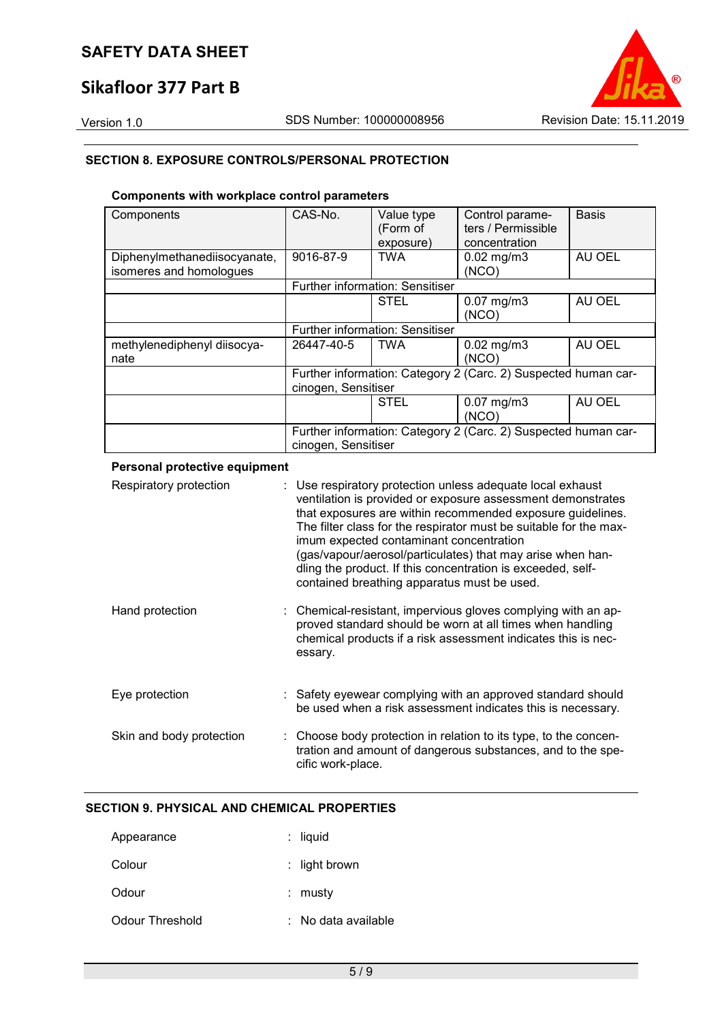# **Sikafloor 377 Part B**

Version 1.0 SDS Number: 100000008956 Revision Date: 15.11.2019

### **SECTION 8. EXPOSURE CONTROLS/PERSONAL PROTECTION**

### **Components with workplace control parameters**

| Components                                              | CAS-No.                                                                               | Value type<br>(Form of<br>exposure) | Control parame-<br>ters / Permissible<br>concentration | <b>Basis</b> |
|---------------------------------------------------------|---------------------------------------------------------------------------------------|-------------------------------------|--------------------------------------------------------|--------------|
| Diphenylmethanediisocyanate,<br>isomeres and homologues | 9016-87-9                                                                             | <b>TWA</b>                          | $0.02$ mg/m $3$<br>(NCO)                               | AU OEL       |
|                                                         | <b>Further information: Sensitiser</b>                                                |                                     |                                                        |              |
|                                                         |                                                                                       | <b>STEL</b>                         | $0.07$ mg/m $3$<br>(NCO)                               | AU OEL       |
|                                                         | <b>Further information: Sensitiser</b>                                                |                                     |                                                        |              |
| methylenediphenyl diisocya-<br>nate                     | 26447-40-5                                                                            | <b>TWA</b>                          | $0.02$ mg/m $3$<br>(NCO)                               | AU OEL       |
|                                                         | Further information: Category 2 (Carc. 2) Suspected human car-<br>cinogen, Sensitiser |                                     |                                                        |              |
|                                                         |                                                                                       | <b>STEL</b>                         | $0.07$ mg/m $3$<br>(NCO)                               | AU OEL       |
|                                                         | Further information: Category 2 (Carc. 2) Suspected human car-<br>cinogen, Sensitiser |                                     |                                                        |              |

#### **Personal protective equipment**

| Respiratory protection   | : Use respiratory protection unless adequate local exhaust<br>ventilation is provided or exposure assessment demonstrates<br>that exposures are within recommended exposure guidelines.<br>The filter class for the respirator must be suitable for the max-<br>imum expected contaminant concentration<br>(gas/vapour/aerosol/particulates) that may arise when han-<br>dling the product. If this concentration is exceeded, self-<br>contained breathing apparatus must be used. |
|--------------------------|-------------------------------------------------------------------------------------------------------------------------------------------------------------------------------------------------------------------------------------------------------------------------------------------------------------------------------------------------------------------------------------------------------------------------------------------------------------------------------------|
| Hand protection          | : Chemical-resistant, impervious gloves complying with an ap-<br>proved standard should be worn at all times when handling<br>chemical products if a risk assessment indicates this is nec-<br>essary.                                                                                                                                                                                                                                                                              |
| Eye protection           | : Safety eyewear complying with an approved standard should<br>be used when a risk assessment indicates this is necessary.                                                                                                                                                                                                                                                                                                                                                          |
| Skin and body protection | : Choose body protection in relation to its type, to the concen-<br>tration and amount of dangerous substances, and to the spe-<br>cific work-place.                                                                                                                                                                                                                                                                                                                                |

### **SECTION 9. PHYSICAL AND CHEMICAL PROPERTIES**

| Appearance      | $:$ liquid          |
|-----------------|---------------------|
| Colour          | : light brown       |
| Odour           | ∶ mustv             |
| Odour Threshold | : No data available |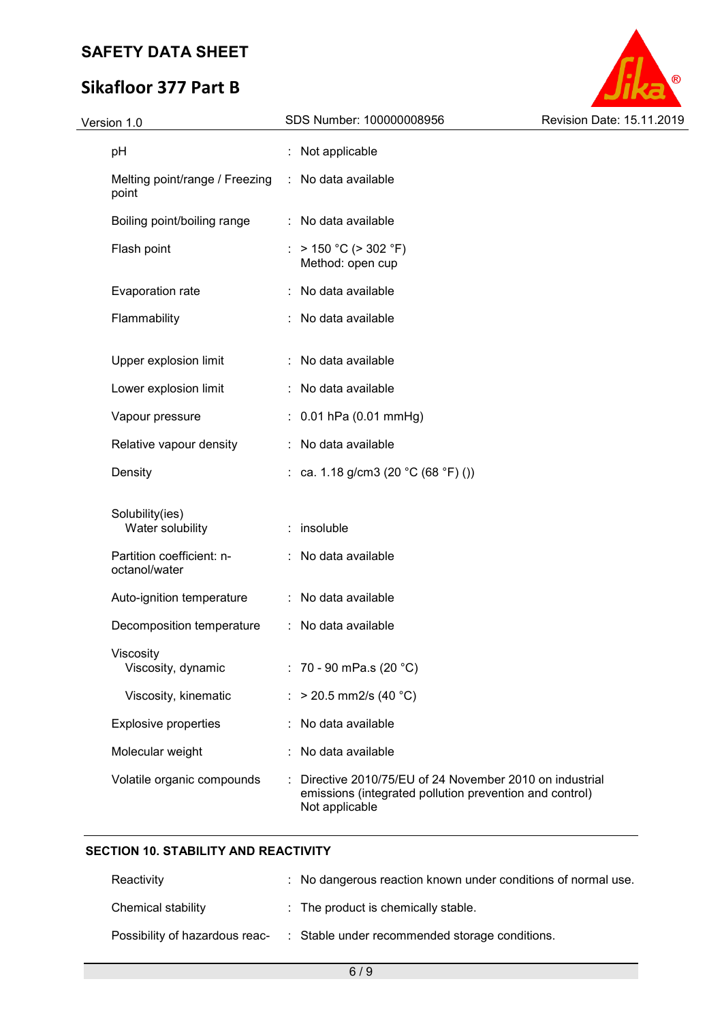# **Sikafloor 377 Part B**



| Version 1.0                                | SDS Number: 100000008956                                                                                                            | Revision Date: 15.11.2019 |
|--------------------------------------------|-------------------------------------------------------------------------------------------------------------------------------------|---------------------------|
| pH                                         | : Not applicable                                                                                                                    |                           |
| Melting point/range / Freezing<br>point    | : No data available                                                                                                                 |                           |
| Boiling point/boiling range                | : No data available                                                                                                                 |                           |
| Flash point                                | $> 150 °C$ ( $> 302 °F$ )<br>Method: open cup                                                                                       |                           |
| Evaporation rate                           | No data available                                                                                                                   |                           |
| Flammability                               | No data available                                                                                                                   |                           |
| Upper explosion limit                      | No data available                                                                                                                   |                           |
| Lower explosion limit                      | : No data available                                                                                                                 |                           |
| Vapour pressure                            | $: 0.01$ hPa (0.01 mmHg)                                                                                                            |                           |
| Relative vapour density                    | No data available                                                                                                                   |                           |
| Density                                    | : ca. 1.18 g/cm3 (20 °C (68 °F) ())                                                                                                 |                           |
| Solubility(ies)<br>Water solubility        | insoluble                                                                                                                           |                           |
| Partition coefficient: n-<br>octanol/water | : No data available                                                                                                                 |                           |
| Auto-ignition temperature                  | : No data available                                                                                                                 |                           |
| Decomposition temperature                  | : No data available                                                                                                                 |                           |
| Viscosity<br>Viscosity, dynamic            | : 70 - 90 mPa.s (20 °C)                                                                                                             |                           |
| Viscosity, kinematic                       | $>$ 20.5 mm2/s (40 °C)                                                                                                              |                           |
| <b>Explosive properties</b>                | No data available                                                                                                                   |                           |
| Molecular weight                           | No data available                                                                                                                   |                           |
| Volatile organic compounds                 | Directive 2010/75/EU of 24 November 2010 on industrial<br>emissions (integrated pollution prevention and control)<br>Not applicable |                           |

### **SECTION 10. STABILITY AND REACTIVITY**

| Reactivity         | : No dangerous reaction known under conditions of normal use.                 |
|--------------------|-------------------------------------------------------------------------------|
| Chemical stability | : The product is chemically stable.                                           |
|                    | Possibility of hazardous reac- : Stable under recommended storage conditions. |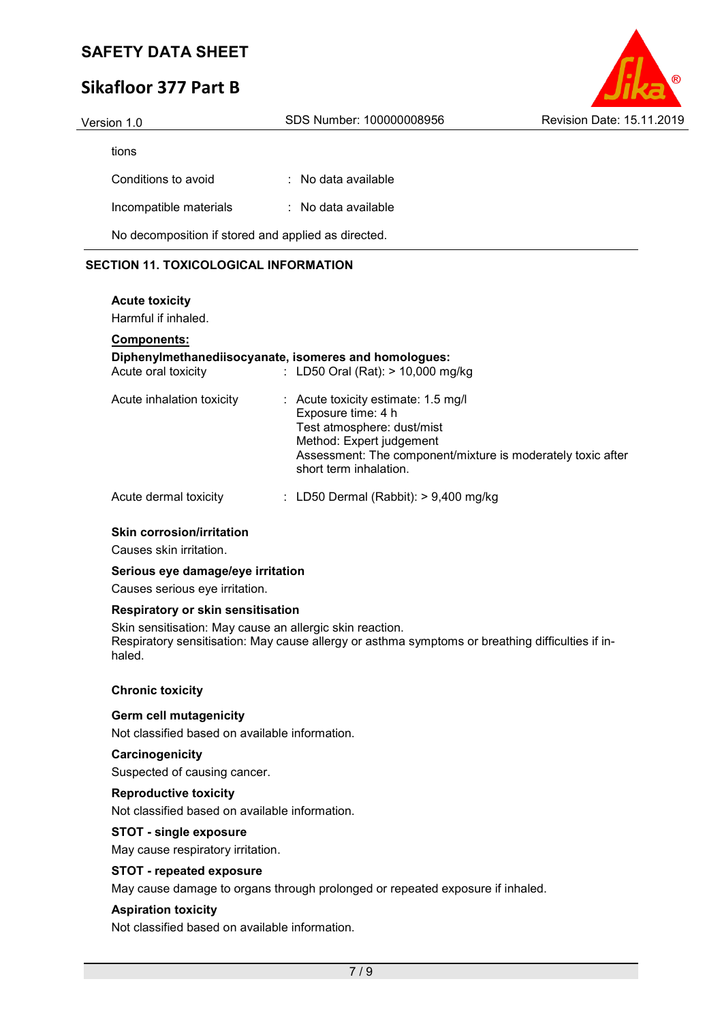# **Sikafloor 377 Part B**



| Version 1.0                                         | SDS Number: 100000008956       | <b>Revision Date: 15.11.2019</b> |
|-----------------------------------------------------|--------------------------------|----------------------------------|
| tions                                               |                                |                                  |
| Conditions to avoid                                 | $\therefore$ No data available |                                  |
| Incompatible materials                              | : No data available            |                                  |
| No decomposition if stored and applied as directed. |                                |                                  |

### **SECTION 11. TOXICOLOGICAL INFORMATION**

### **Acute toxicity**  Harmful if inhaled. **Components: Diphenylmethanediisocyanate, isomeres and homologues:**  Acute oral toxicity : LD50 Oral (Rat): > 10,000 mg/kg Acute inhalation toxicity : Acute toxicity estimate: 1.5 mg/l Exposure time: 4 h Test atmosphere: dust/mist Method: Expert judgement Assessment: The component/mixture is moderately toxic after short term inhalation. Acute dermal toxicity : LD50 Dermal (Rabbit): > 9,400 mg/kg

### **Skin corrosion/irritation**

Causes skin irritation.

#### **Serious eye damage/eye irritation**

Causes serious eye irritation.

#### **Respiratory or skin sensitisation**

Skin sensitisation: May cause an allergic skin reaction. Respiratory sensitisation: May cause allergy or asthma symptoms or breathing difficulties if inhaled.

### **Chronic toxicity**

#### **Germ cell mutagenicity**

Not classified based on available information.

#### **Carcinogenicity**

Suspected of causing cancer.

#### **Reproductive toxicity**

Not classified based on available information.

### **STOT - single exposure**

May cause respiratory irritation.

### **STOT - repeated exposure**

May cause damage to organs through prolonged or repeated exposure if inhaled.

### **Aspiration toxicity**

Not classified based on available information.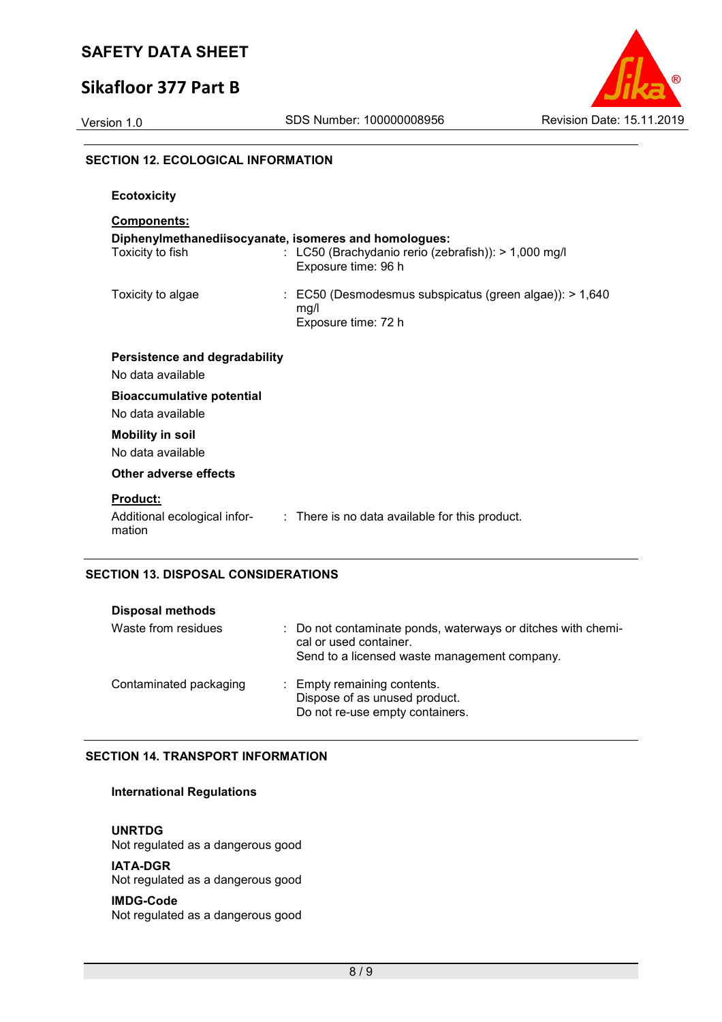## **Sikafloor 377 Part B**



### **SECTION 12. ECOLOGICAL INFORMATION**

| <b>Ecotoxicity</b>                                                                              |                                                                                                   |
|-------------------------------------------------------------------------------------------------|---------------------------------------------------------------------------------------------------|
| <b>Components:</b><br>Diphenylmethanediisocyanate, isomeres and homologues:<br>Toxicity to fish | : LC50 (Brachydanio rerio (zebrafish)): > 1,000 mg/l<br>Exposure time: 96 h                       |
| Toxicity to algae                                                                               | $\therefore$ EC50 (Desmodesmus subspicatus (green algae)): > 1,640<br>mg/l<br>Exposure time: 72 h |
| Persistence and degradability<br>No data available                                              |                                                                                                   |
| <b>Bioaccumulative potential</b><br>No data available                                           |                                                                                                   |
| <b>Mobility in soil</b><br>No data available                                                    |                                                                                                   |
| Other adverse effects                                                                           |                                                                                                   |
| <b>Product:</b><br>mation                                                                       | Additional ecological infor- : There is no data available for this product.                       |

### **SECTION 13. DISPOSAL CONSIDERATIONS**

| <b>Disposal methods</b> |                                                                                                                                        |
|-------------------------|----------------------------------------------------------------------------------------------------------------------------------------|
| Waste from residues     | : Do not contaminate ponds, waterways or ditches with chemi-<br>cal or used container.<br>Send to a licensed waste management company. |
| Contaminated packaging  | : Empty remaining contents.<br>Dispose of as unused product.<br>Do not re-use empty containers.                                        |

### **SECTION 14. TRANSPORT INFORMATION**

### **International Regulations**

**UNRTDG**

Not regulated as a dangerous good

### **IATA-DGR**

Not regulated as a dangerous good

#### **IMDG-Code**

Not regulated as a dangerous good